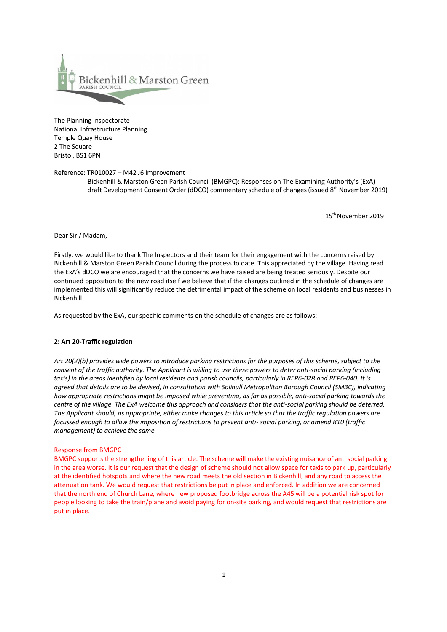

The Planning Inspectorate National Infrastructure Planning Temple Quay House 2 The Square Bristol, BS1 6PN

Reference: TR010027 – M42 J6 Improvement Bickenhill & Marston Green Parish Council (BMGPC): Responses on The Examining Authority's (ExA) draft Development Consent Order (dDCO) commentary schedule of changes (issued 8<sup>th</sup> November 2019)

15th November 2019

Dear Sir / Madam,

Firstly, we would like to thank The Inspectors and their team for their engagement with the concerns raised by Bickenhill & Marston Green Parish Council during the process to date. This appreciated by the village. Having read the ExA's dDCO we are encouraged that the concerns we have raised are being treated seriously. Despite our continued opposition to the new road itself we believe that if the changes outlined in the schedule of changes are implemented this will significantly reduce the detrimental impact of the scheme on local residents and businesses in Bickenhill.

As requested by the ExA, our specific comments on the schedule of changes are as follows:

# **2: Art 20-Traffic regulation**

*Art 20(2)(b) provides wide powers to introduce parking restrictions for the purposes of this scheme, subject to the consent of the traffic authority. The Applicant is willing to use these powers to deter anti-social parking (including taxis) in the areas identified by local residents and parish councils, particularly in REP6-028 and REP6-040. It is agreed that details are to be devised, in consultation with Solihull Metropolitan Borough Council (SMBC), indicating how appropriate restrictions might be imposed while preventing, as far as possible, anti-social parking towards the centre of the village. The ExA welcome this approach and considers that the anti-social parking should be deterred. The Applicant should, as appropriate, either make changes to this article so that the traffic regulation powers are focussed enough to allow the imposition of restrictions to prevent anti- social parking, or amend R10 (traffic management) to achieve the same.*

### Response from BMGPC

BMGPC supports the strengthening of this article. The scheme will make the existing nuisance of anti social parking in the area worse. It is our request that the design of scheme should not allow space for taxis to park up, particularly at the identified hotspots and where the new road meets the old section in Bickenhill, and any road to access the attenuation tank. We would request that restrictions be put in place and enforced. In addition we are concerned that the north end of Church Lane, where new proposed footbridge across the A45 will be a potential risk spot for people looking to take the train/plane and avoid paying for on-site parking, and would request that restrictions are put in place.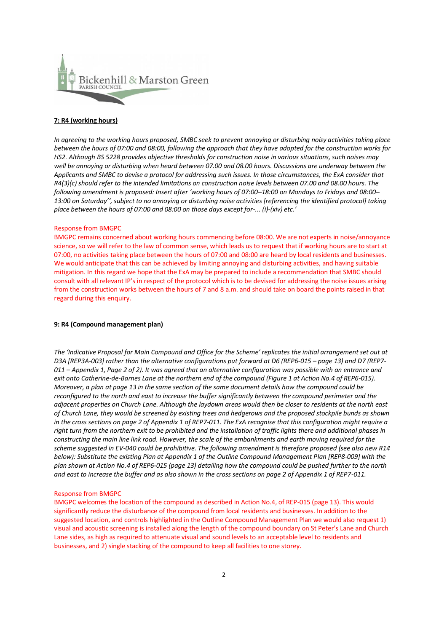

# **7: R4 (working hours)**

*In agreeing to the working hours proposed, SMBC seek to prevent annoying or disturbing noisy activities taking place between the hours of 07:00 and 08:00, following the approach that they have adopted for the construction works for HS2. Although BS 5228 provides objective thresholds for construction noise in various situations, such noises may well be annoying or disturbing when heard between 07.00 and 08.00 hours. Discussions are underway between the Applicants and SMBC to devise a protocol for addressing such issues. In those circumstances, the ExA consider that R4(3)(c) should refer to the intended limitations on construction noise levels between 07.00 and 08.00 hours. The following amendment is proposed: Insert after 'working hours of 07:00–18:00 on Mondays to Fridays and 08:00– 13:00 on Saturday'', subject to no annoying or disturbing noise activities [referencing the identified protocol] taking place between the hours of 07:00 and 08:00 on those days except for-... (i)-(xiv) etc.'*

### Response from BMGPC

BMGPC remains concerned about working hours commencing before 08:00. We are not experts in noise/annoyance science, so we will refer to the law of common sense, which leads us to request that if working hours are to start at 07:00, no activities taking place between the hours of 07:00 and 08:00 are heard by local residents and businesses. We would anticipate that this can be achieved by limiting annoying and disturbing activities, and having suitable mitigation. In this regard we hope that the ExA may be prepared to include a recommendation that SMBC should consult with all relevant IP's in respect of the protocol which is to be devised for addressing the noise issues arising from the construction works between the hours of 7 and 8 a.m. and should take on board the points raised in that regard during this enquiry.

## **9: R4 (Compound management plan)**

*The 'Indicative Proposal for Main Compound and Office for the Scheme' replicates the initial arrangement set out at D3A [REP3A-003] rather than the alternative configurations put forward at D6 (REP6-015 – page 13) and D7 (REP7- 011 – Appendix 1, Page 2 of 2). It was agreed that an alternative configuration was possible with an entrance and exit onto Catherine-de-Barnes Lane at the northern end of the compound (Figure 1 at Action No.4 of REP6-015). Moreover, a plan at page 13 in the same section of the same document details how the compound could be reconfigured to the north and east to increase the buffer significantly between the compound perimeter and the adjacent properties on Church Lane. Although the laydown areas would then be closer to residents at the north east of Church Lane, they would be screened by existing trees and hedgerows and the proposed stockpile bunds as shown in the cross sections on page 2 of Appendix 1 of REP7-011. The ExA recognise that this configuration might require a right turn from the northern exit to be prohibited and the installation of traffic lights there and additional phases in constructing the main line link road. However, the scale of the embankments and earth moving required for the scheme suggested in EV-040 could be prohibitive. The following amendment is therefore proposed (see also new R14 below): Substitute the existing Plan at Appendix 1 of the Outline Compound Management Plan [REP8-009] with the plan shown at Action No.4 of REP6-015 (page 13) detailing how the compound could be pushed further to the north and east to increase the buffer and as also shown in the cross sections on page 2 of Appendix 1 of REP7-011.*

### Response from BMGPC

BMGPC welcomes the location of the compound as described in Action No.4, of REP-015 (page 13). This would significantly reduce the disturbance of the compound from local residents and businesses. In addition to the suggested location, and controls highlighted in the Outline Compound Management Plan we would also request 1) visual and acoustic screening is installed along the length of the compound boundary on St Peter's Lane and Church Lane sides, as high as required to attenuate visual and sound levels to an acceptable level to residents and businesses, and 2) single stacking of the compound to keep all facilities to one storey.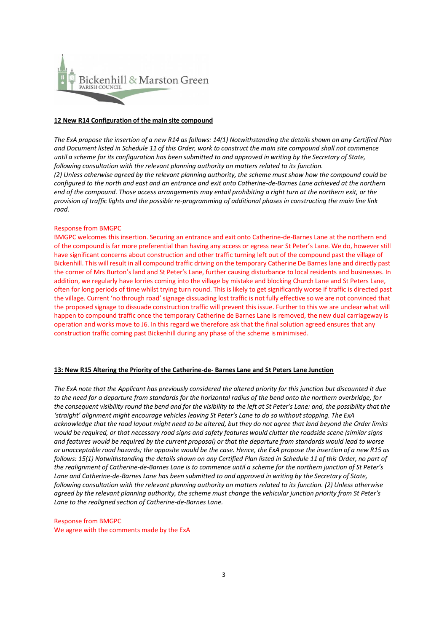

### **12 New R14 Configuration of the main site compound**

*The ExA propose the insertion of a new R14 as follows: 14(1) Notwithstanding the details shown on any Certified Plan and Document listed in Schedule 11 of this Order, work to construct the main site compound shall not commence until a scheme for its configuration has been submitted to and approved in writing by the Secretary of State, following consultation with the relevant planning authority on matters related to its function. (2) Unless otherwise agreed by the relevant planning authority, the scheme must show how the compound could be configured to the north and east and an entrance and exit onto Catherine-de-Barnes Lane achieved at the northern end of the compound. Those access arrangements may entail prohibiting a right turn at the northern exit, or the provision of traffic lights and the possible re-programming of additional phases in constructing the main line link road.*

### Response from BMGPC

BMGPC welcomes this insertion. Securing an entrance and exit onto Catherine-de-Barnes Lane at the northern end of the compound is far more preferential than having any access or egress near St Peter's Lane. We do, however still have significant concerns about construction and other traffic turning left out of the compound past the village of Bickenhill. This will result in all compound traffic driving on the temporary Catherine De Barnes lane and directly past the corner of Mrs Burton's land and St Peter's Lane, further causing disturbance to local residents and businesses. In addition, we regularly have lorries coming into the village by mistake and blocking Church Lane and St Peters Lane, often for long periods of time whilst trying turn round. This is likely to get significantly worse if traffic is directed past the village. Current 'no through road' signage dissuading lost traffic is not fully effective so we are not convinced that the proposed signage to dissuade construction traffic will prevent this issue. Further to this we are unclear what will happen to compound traffic once the temporary Catherine de Barnes Lane is removed, the new dual carriageway is operation and works move to J6. In this regard we therefore ask that the final solution agreed ensures that any construction traffic coming past Bickenhill during any phase of the scheme isminimised.

# **13: New R15 Altering the Priority of the Catherine-de- Barnes Lane and St Peters Lane Junction**

*The ExA note that the Applicant has previously considered the altered priority for this junction but discounted it due to the need for a departure from standards for the horizontal radius of the bend onto the northern overbridge, for*  the consequent visibility round the bend and for the visibility to the left at St Peter's Lane: and, the possibility that the *'straight' alignment might encourage vehicles leaving St Peter's Lane to do so without stopping. The ExA acknowledge that the road layout might need to be altered, but they do not agree that land beyond the Order limits would be required, or that necessary road signs and safety features would clutter the roadside scene (similar signs and features would be required by the current proposal) or that the departure from standards would lead to worse or unacceptable road hazards; the opposite would be the case. Hence, the ExA propose the insertion of a new R15 as follows: 15(1) Notwithstanding the details shown on any Certified Plan listed in Schedule 11 of this Order, no part of the realignment of Catherine-de-Barnes Lane is to commence until a scheme for the northern junction of St Peter's Lane and Catherine-de-Barnes Lane has been submitted to and approved in writing by the Secretary of State, following consultation with the relevant planning authority on matters related to its function. (2) Unless otherwise agreed by the relevant planning authority, the scheme must change* the *vehicular junction priority from St Peter's Lane to the realigned section of Catherine-de-Barnes Lane.*

### Response from BMGPC

We agree with the comments made by the ExA